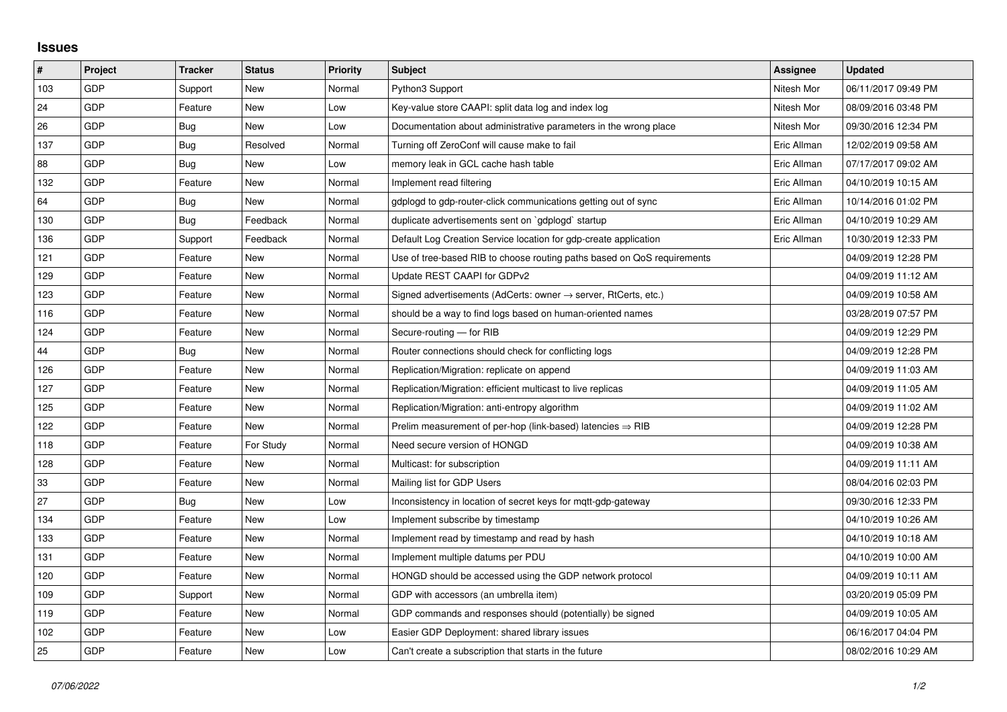## **Issues**

| $\pmb{\sharp}$ | Project    | <b>Tracker</b> | <b>Status</b> | Priority | <b>Subject</b>                                                          | Assignee    | <b>Updated</b>      |
|----------------|------------|----------------|---------------|----------|-------------------------------------------------------------------------|-------------|---------------------|
| 103            | GDP        | Support        | <b>New</b>    | Normal   | Python3 Support                                                         | Nitesh Mor  | 06/11/2017 09:49 PM |
| 24             | GDP        | Feature        | <b>New</b>    | Low      | Key-value store CAAPI: split data log and index log                     | Nitesh Mor  | 08/09/2016 03:48 PM |
| 26             | GDP        | <b>Bug</b>     | <b>New</b>    | Low      | Documentation about administrative parameters in the wrong place        | Nitesh Mor  | 09/30/2016 12:34 PM |
| 137            | GDP        | <b>Bug</b>     | Resolved      | Normal   | Turning off ZeroConf will cause make to fail                            | Eric Allman | 12/02/2019 09:58 AM |
| 88             | GDP        | <b>Bug</b>     | <b>New</b>    | Low      | memory leak in GCL cache hash table                                     | Eric Allman | 07/17/2017 09:02 AM |
| 132            | GDP        | Feature        | <b>New</b>    | Normal   | Implement read filtering                                                | Eric Allman | 04/10/2019 10:15 AM |
| 64             | GDP        | Bug            | <b>New</b>    | Normal   | gdplogd to gdp-router-click communications getting out of sync          | Eric Allman | 10/14/2016 01:02 PM |
| 130            | GDP        | Bug            | Feedback      | Normal   | duplicate advertisements sent on `gdplogd` startup                      | Eric Allman | 04/10/2019 10:29 AM |
| 136            | <b>GDP</b> | Support        | Feedback      | Normal   | Default Log Creation Service location for gdp-create application        | Eric Allman | 10/30/2019 12:33 PM |
| 121            | GDP        | Feature        | <b>New</b>    | Normal   | Use of tree-based RIB to choose routing paths based on QoS requirements |             | 04/09/2019 12:28 PM |
| 129            | GDP        | Feature        | <b>New</b>    | Normal   | Update REST CAAPI for GDPv2                                             |             | 04/09/2019 11:12 AM |
| 123            | <b>GDP</b> | Feature        | <b>New</b>    | Normal   | Signed advertisements (AdCerts: owner → server, RtCerts, etc.)          |             | 04/09/2019 10:58 AM |
| 116            | GDP        | Feature        | <b>New</b>    | Normal   | should be a way to find logs based on human-oriented names              |             | 03/28/2019 07:57 PM |
| 124            | <b>GDP</b> | Feature        | <b>New</b>    | Normal   | Secure-routing - for RIB                                                |             | 04/09/2019 12:29 PM |
| 44             | GDP        | Bug            | New           | Normal   | Router connections should check for conflicting logs                    |             | 04/09/2019 12:28 PM |
| 126            | GDP        | Feature        | <b>New</b>    | Normal   | Replication/Migration: replicate on append                              |             | 04/09/2019 11:03 AM |
| 127            | GDP        | Feature        | <b>New</b>    | Normal   | Replication/Migration: efficient multicast to live replicas             |             | 04/09/2019 11:05 AM |
| 125            | GDP        | Feature        | New           | Normal   | Replication/Migration: anti-entropy algorithm                           |             | 04/09/2019 11:02 AM |
| 122            | GDP        | Feature        | <b>New</b>    | Normal   | Prelim measurement of per-hop (link-based) latencies $\Rightarrow$ RIB  |             | 04/09/2019 12:28 PM |
| 118            | <b>GDP</b> | Feature        | For Study     | Normal   | Need secure version of HONGD                                            |             | 04/09/2019 10:38 AM |
| 128            | GDP        | Feature        | New           | Normal   | Multicast: for subscription                                             |             | 04/09/2019 11:11 AM |
| 33             | <b>GDP</b> | Feature        | <b>New</b>    | Normal   | Mailing list for GDP Users                                              |             | 08/04/2016 02:03 PM |
| 27             | GDP        | <b>Bug</b>     | <b>New</b>    | Low      | Inconsistency in location of secret keys for mqtt-gdp-gateway           |             | 09/30/2016 12:33 PM |
| 134            | GDP        | Feature        | <b>New</b>    | Low      | Implement subscribe by timestamp                                        |             | 04/10/2019 10:26 AM |
| 133            | <b>GDP</b> | Feature        | <b>New</b>    | Normal   | Implement read by timestamp and read by hash                            |             | 04/10/2019 10:18 AM |
| 131            | GDP        | Feature        | New           | Normal   | Implement multiple datums per PDU                                       |             | 04/10/2019 10:00 AM |
| 120            | GDP        | Feature        | New           | Normal   | HONGD should be accessed using the GDP network protocol                 |             | 04/09/2019 10:11 AM |
| 109            | <b>GDP</b> | Support        | <b>New</b>    | Normal   | GDP with accessors (an umbrella item)                                   |             | 03/20/2019 05:09 PM |
| 119            | GDP        | Feature        | <b>New</b>    | Normal   | GDP commands and responses should (potentially) be signed               |             | 04/09/2019 10:05 AM |
| 102            | GDP        | Feature        | <b>New</b>    | Low      | Easier GDP Deployment: shared library issues                            |             | 06/16/2017 04:04 PM |
| 25             | GDP        | Feature        | <b>New</b>    | Low      | Can't create a subscription that starts in the future                   |             | 08/02/2016 10:29 AM |